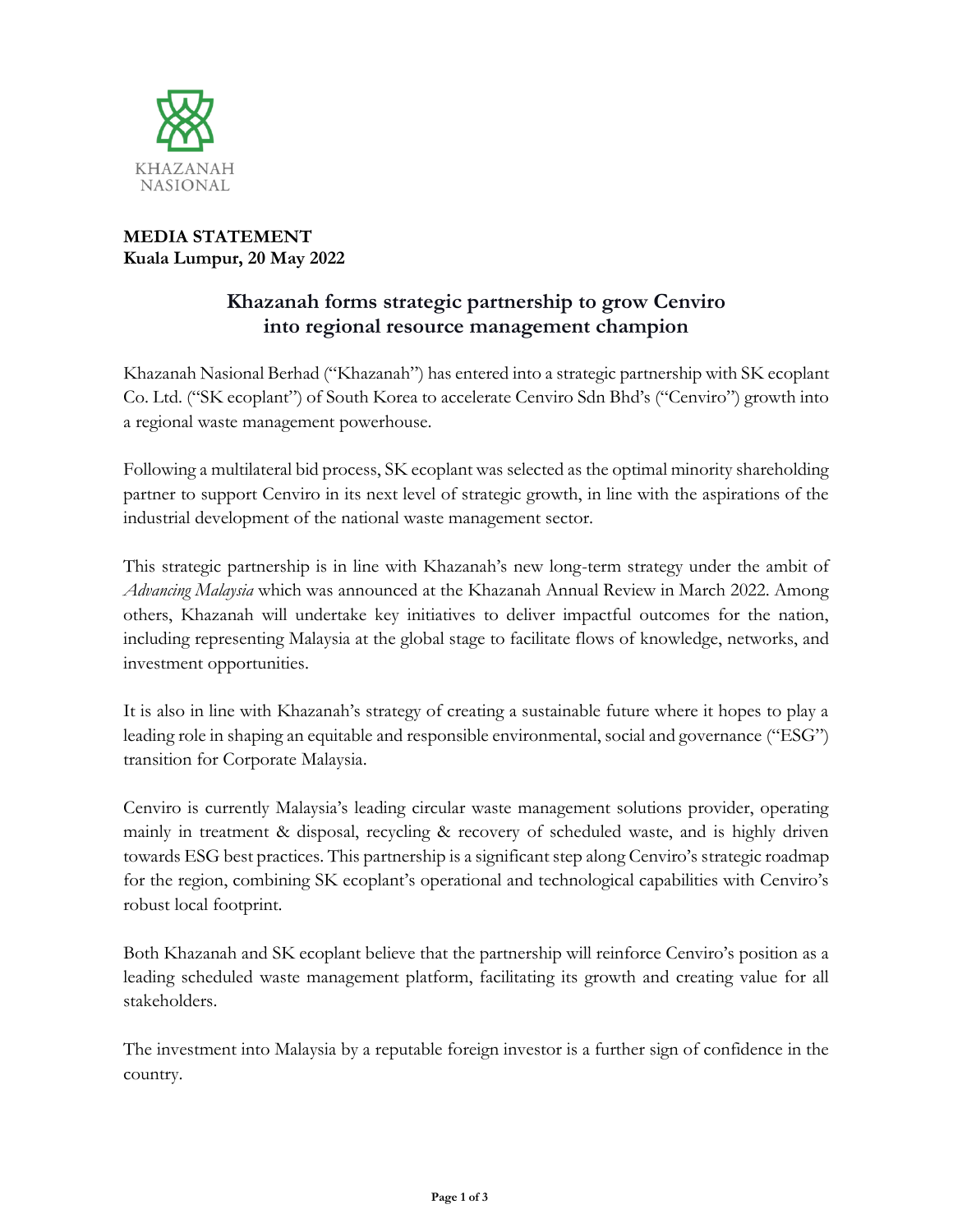

## **MEDIA STATEMENT Kuala Lumpur, 20 May 2022**

# **Khazanah forms strategic partnership to grow Cenviro into regional resource management champion**

Khazanah Nasional Berhad ("Khazanah") has entered into a strategic partnership with SK ecoplant Co. Ltd. ("SK ecoplant") of South Korea to accelerate Cenviro Sdn Bhd's ("Cenviro") growth into a regional waste management powerhouse.

Following a multilateral bid process, SK ecoplant was selected as the optimal minority shareholding partner to support Cenviro in its next level of strategic growth, in line with the aspirations of the industrial development of the national waste management sector.

This strategic partnership is in line with Khazanah's new long-term strategy under the ambit of *Advancing Malaysia* which was announced at the Khazanah Annual Review in March 2022. Among others, Khazanah will undertake key initiatives to deliver impactful outcomes for the nation, including representing Malaysia at the global stage to facilitate flows of knowledge, networks, and investment opportunities.

It is also in line with Khazanah's strategy of creating a sustainable future where it hopes to play a leading role in shaping an equitable and responsible environmental, social and governance ("ESG") transition for Corporate Malaysia.

Cenviro is currently Malaysia's leading circular waste management solutions provider, operating mainly in treatment & disposal, recycling & recovery of scheduled waste, and is highly driven towards ESG best practices. This partnership is a significant step along Cenviro's strategic roadmap for the region, combining SK ecoplant's operational and technological capabilities with Cenviro's robust local footprint.

Both Khazanah and SK ecoplant believe that the partnership will reinforce Cenviro's position as a leading scheduled waste management platform, facilitating its growth and creating value for all stakeholders.

The investment into Malaysia by a reputable foreign investor is a further sign of confidence in the country.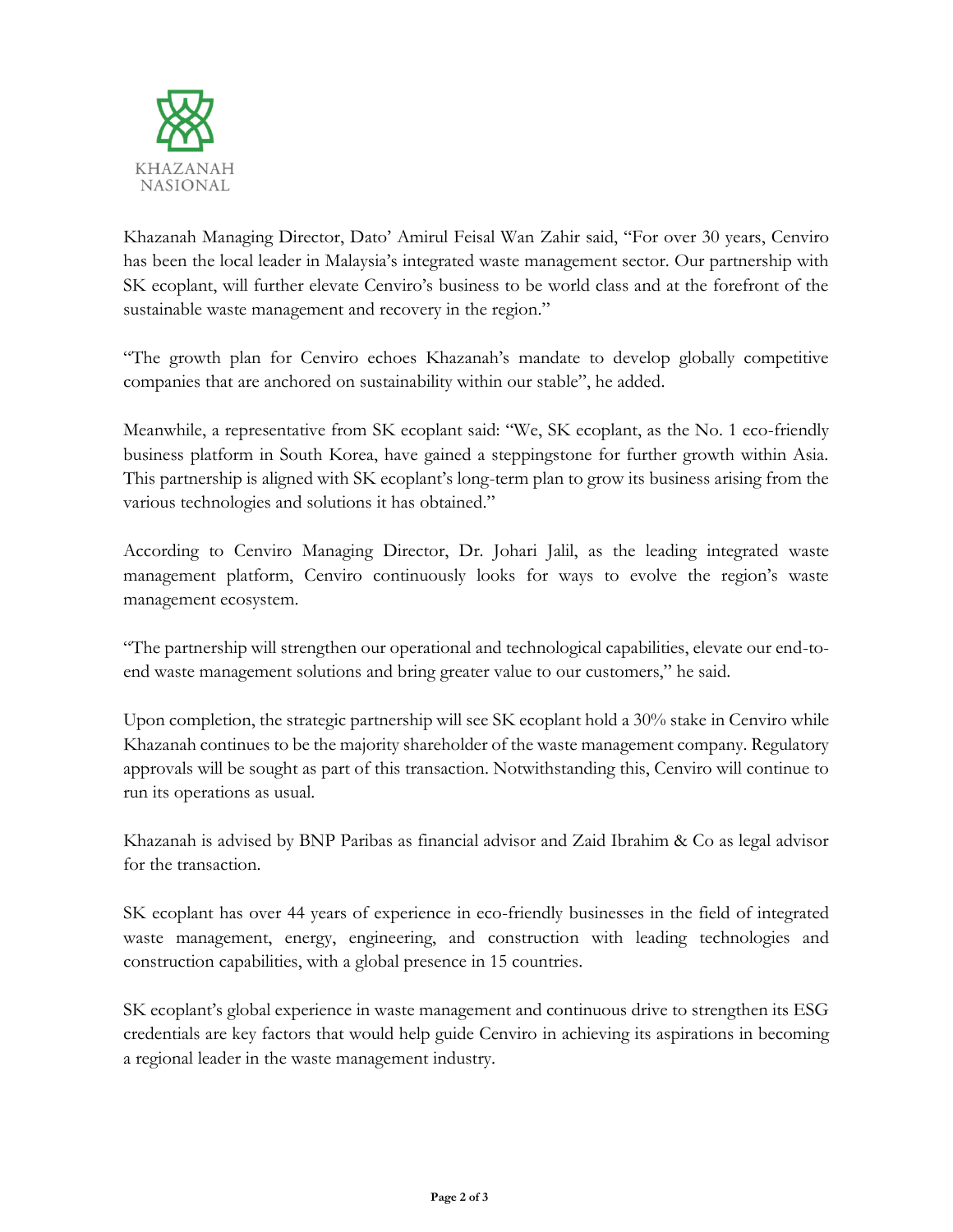

Khazanah Managing Director, Dato' Amirul Feisal Wan Zahir said, "For over 30 years, Cenviro has been the local leader in Malaysia's integrated waste management sector. Our partnership with SK ecoplant, will further elevate Cenviro's business to be world class and at the forefront of the sustainable waste management and recovery in the region."

"The growth plan for Cenviro echoes Khazanah's mandate to develop globally competitive companies that are anchored on sustainability within our stable", he added.

Meanwhile, a representative from SK ecoplant said: "We, SK ecoplant, as the No. 1 eco-friendly business platform in South Korea, have gained a steppingstone for further growth within Asia. This partnership is aligned with SK ecoplant's long-term plan to grow its business arising from the various technologies and solutions it has obtained."

According to Cenviro Managing Director, Dr. Johari Jalil, as the leading integrated waste management platform, Cenviro continuously looks for ways to evolve the region's waste management ecosystem.

"The partnership will strengthen our operational and technological capabilities, elevate our end-toend waste management solutions and bring greater value to our customers," he said.

Upon completion, the strategic partnership will see SK ecoplant hold a 30% stake in Cenviro while Khazanah continues to be the majority shareholder of the waste management company. Regulatory approvals will be sought as part of this transaction. Notwithstanding this, Cenviro will continue to run its operations as usual.

Khazanah is advised by BNP Paribas as financial advisor and Zaid Ibrahim & Co as legal advisor for the transaction.

SK ecoplant has over 44 years of experience in eco-friendly businesses in the field of integrated waste management, energy, engineering, and construction with leading technologies and construction capabilities, with a global presence in 15 countries.

SK ecoplant's global experience in waste management and continuous drive to strengthen its ESG credentials are key factors that would help guide Cenviro in achieving its aspirations in becoming a regional leader in the waste management industry.